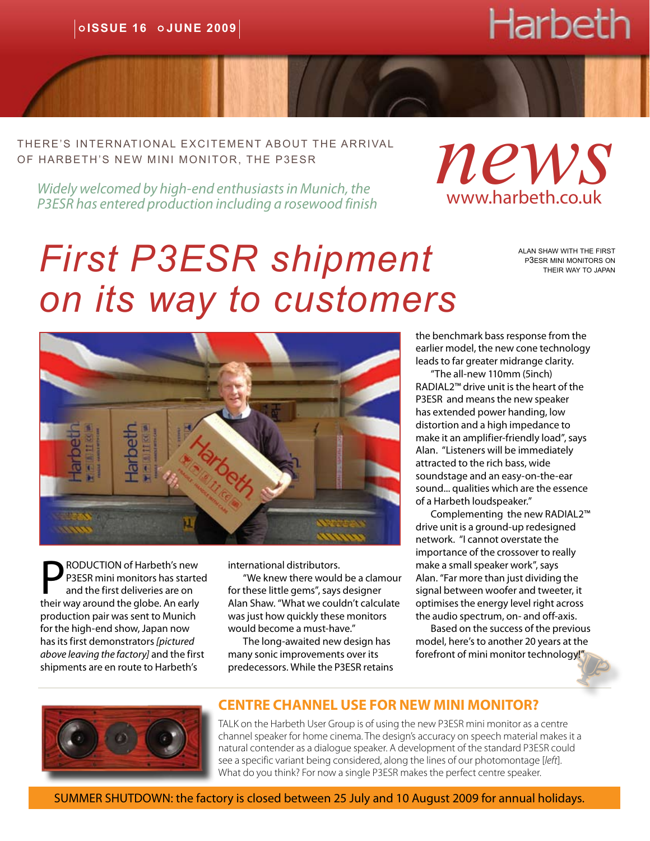# Harbeth

there's international excitement about the arrival of harbeth's new mini monitor, the p3esr

*P3ESR has entered production including a rosewood finish*



alan shaw with the first p3esr mini monitors on their way to japan

## *First P3ESR shipment on its way to customers*



RODUCTION of Harbeth's new P3ESR mini monitors has started and the first deliveries are on their way around the globe. An early production pair was sent to Munich for the high-end show, Japan now has its first demonstrators *[pictured above leaving the factory]* and the first shipments are en route to Harbeth's

international distributors.

"We knew there would be a clamour for these little gems", says designer Alan Shaw. "What we couldn't calculate was just how quickly these monitors would become a must-have."

The long-awaited new design has many sonic improvements over its predecessors. While the P3ESR retains the benchmark bass response from the earlier model, the new cone technology leads to far greater midrange clarity.

"The all-new 110mm (5inch) RADIAL2™ drive unit is the heart of the P3ESR and means the new speaker has extended power handing, low distortion and a high impedance to make it an amplifier-friendly load", says Alan. "Listeners will be immediately attracted to the rich bass, wide soundstage and an easy-on-the-ear sound... qualities which are the essence of a Harbeth loudspeaker."

Complementing the new RADIAL2™ drive unit is a ground-up redesigned network. "I cannot overstate the importance of the crossover to really make a small speaker work", says Alan. "Far more than just dividing the signal between woofer and tweeter, it optimises the energy level right across the audio spectrum, on- and off-axis.

forefront of mini monitor technology!" Based on the success of the previous model, here's to another 20 years at the



#### **CENTRE CHANNEL USE FOR NEW MINI MONITOR?**

TALK on the Harbeth User Group is of using the new P3ESR mini monitor as a centre channel speaker for home cinema. The design's accuracy on speech material makes it a natural contender as a dialogue speaker. A development of the standard P3ESR could see a specific variant being considered, along the lines of our photomontage [*left*]. What do you think? For now a single P3ESR makes the perfect centre speaker.

SUMMER SHUTDOWN: the factory is closed between 25 July and 10 August 2009 for annual holidays.